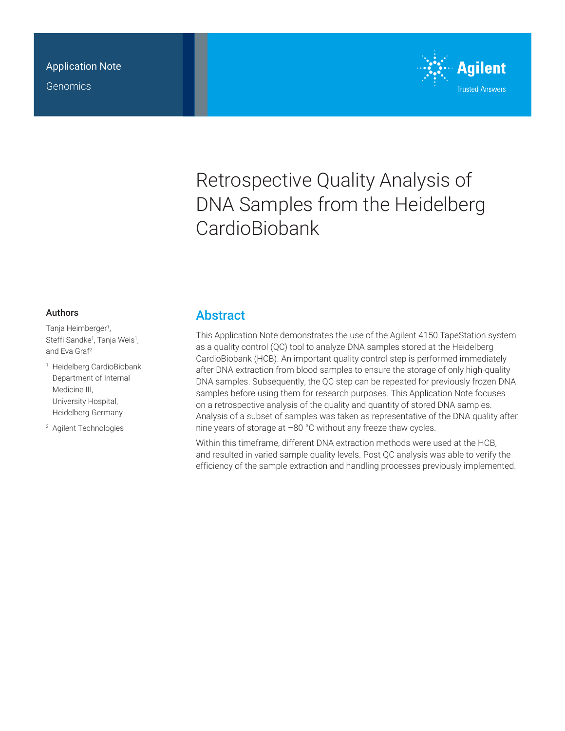

# Retrospective Quality Analysis of DNA Samples from the Heidelberg **CardioBiobank**

### Authors

Tanja Heimberger<sup>1</sup>, Steffi Sandke<sup>1</sup>, Tanja Weis<sup>1</sup>, and Eva Graf<sup>2</sup>

- <sup>1</sup> Heidelberg CardioBiobank, Department of Internal Medicine III, University Hospital, Heidelberg Germany
- <sup>2</sup> Agilent Technologies

## **Abstract**

This Application Note demonstrates the use of the Agilent 4150 TapeStation system as a quality control (QC) tool to analyze DNA samples stored at the Heidelberg CardioBiobank (HCB). An important quality control step is performed immediately after DNA extraction from blood samples to ensure the storage of only high-quality DNA samples. Subsequently, the QC step can be repeated for previously frozen DNA samples before using them for research purposes. This Application Note focuses on a retrospective analysis of the quality and quantity of stored DNA samples. Analysis of a subset of samples was taken as representative of the DNA quality after nine years of storage at –80 °C without any freeze thaw cycles.

Within this timeframe, different DNA extraction methods were used at the HCB, and resulted in varied sample quality levels. Post QC analysis was able to verify the efficiency of the sample extraction and handling processes previously implemented.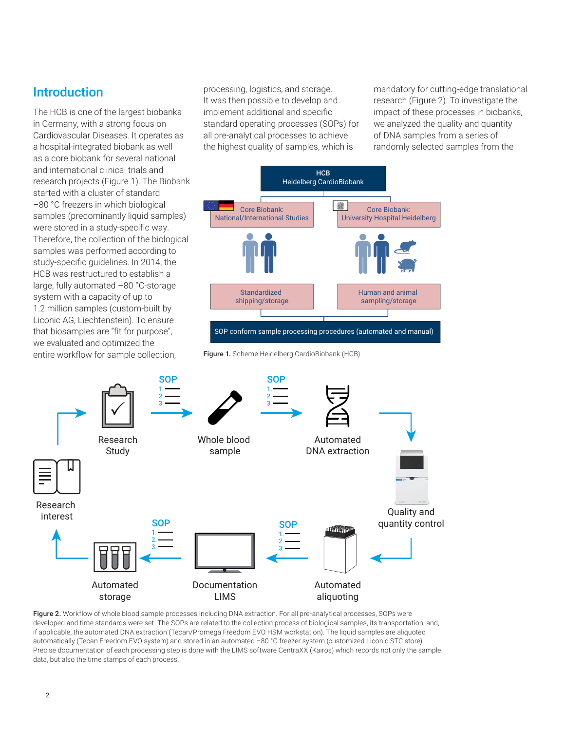# Introduction

The HCB is one of the largest biobanks in Germany, with a strong focus on Cardiovascular Diseases. It operates as a hospital-integrated biobank as well as a core biobank for several national and international clinical trials and research projects (Figure 1). The Biobank started with a cluster of standard –80 °C freezers in which biological samples (predominantly liquid samples) were stored in a study-specific way. Therefore, the collection of the biological samples was performed according to study‑specific guidelines. In 2014, the HCB was restructured to establish a large, fully automated –80 °C-storage system with a capacity of up to 1.2 million samples (custom-built by Liconic AG, Liechtenstein). To ensure that biosamples are "fit for purpose", we evaluated and optimized the

processing, logistics, and storage. It was then possible to develop and implement additional and specific standard operating processes (SOPs) for all pre-analytical processes to achieve the highest quality of samples, which is

mandatory for cutting-edge translational research (Figure 2). To investigate the impact of these processes in biobanks, we analyzed the quality and quantity of DNA samples from a series of randomly selected samples from the



entire workflow for sample collection, Figure 1. Scheme Heidelberg CardioBiobank (HCB).



Figure 2. Workflow of whole blood sample processes including DNA extraction. For all pre-analytical processes, SOPs were developed and time standards were set. The SOPs are related to the collection process of biological samples, its transportation, and, if applicable, the automated DNA extraction (Tecan/Promega Freedom EVO HSM workstation). The liquid samples are aliquoted automatically (Tecan Freedom EVO system) and stored in an automated –80 °C freezer system (customized Liconic STC store). Precise documentation of each processing step is done with the LIMS software CentraXX (Kairos) which records not only the sample data, but also the time stamps of each process.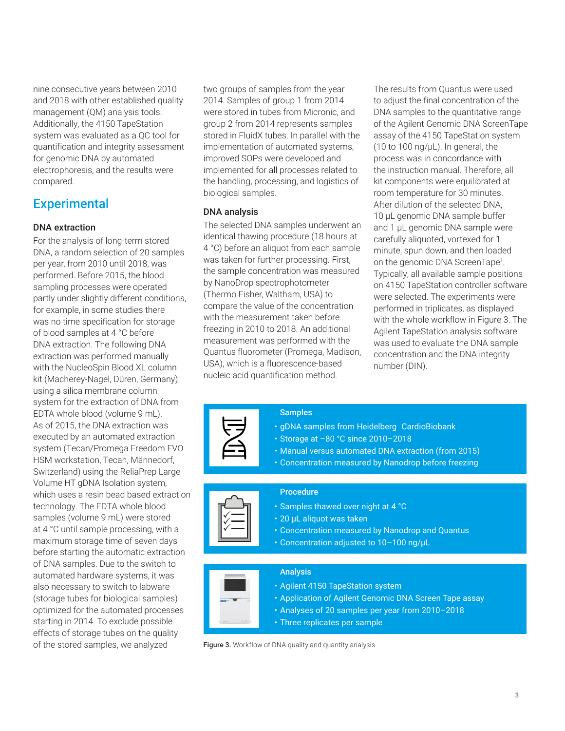nine consecutive years between 2010 and 2018 with other established quality management (QM) analysis tools. Additionally, the 4150 TapeStation system was evaluated as a QC tool for quantification and integrity assessment for genomic DNA by automated electrophoresis, and the results were compared.

# **Experimental**

### DNA extraction

For the analysis of long-term stored DNA, a random selection of 20 samples per year, from 2010 until 2018, was performed. Before 2015, the blood sampling processes were operated partly under slightly different conditions, for example, in some studies there was no time specification for storage of blood samples at 4 °C before DNA extraction. The following DNA extraction was performed manually with the NucleoSpin Blood XL column kit (Macherey-Nagel, Düren, Germany) using a silica membrane column system for the extraction of DNA from EDTA whole blood (volume 9 mL). As of 2015, the DNA extraction was executed by an automated extraction system (Tecan/Promega Freedom EVO HSM workstation, Tecan, Männedorf, Switzerland) using the ReliaPrep Large Volume HT gDNA Isolation system, which uses a resin bead based extraction technology. The EDTA whole blood samples (volume 9 mL) were stored at 4 °C until sample processing, with a maximum storage time of seven days before starting the automatic extraction of DNA samples. Due to the switch to automated hardware systems, it was also necessary to switch to labware (storage tubes for biological samples) optimized for the automated processes starting in 2014. To exclude possible effects of storage tubes on the quality of the stored samples, we analyzed Figure 3. Workflow of DNA quality and quantity analysis.

two groups of samples from the year 2014. Samples of group 1 from 2014 were stored in tubes from Micronic, and group 2 from 2014 represents samples stored in FluidX tubes. In parallel with the implementation of automated systems, improved SOPs were developed and implemented for all processes related to the handling, processing, and logistics of biological samples.

### DNA analysis

The selected DNA samples underwent an identical thawing procedure (18 hours at 4 °C) before an aliquot from each sample was taken for further processing. First, the sample concentration was measured by NanoDrop spectrophotometer (Thermo Fisher, Waltham, USA) to compare the value of the concentration with the measurement taken before freezing in 2010 to 2018. An additional measurement was performed with the Quantus fluorometer (Promega, Madison, USA), which is a fluorescence-based nucleic acid quantification method.

The results from Quantus were used to adjust the final concentration of the DNA samples to the quantitative range of the Agilent Genomic DNA ScreenTape assay of the 4150 TapeStation system (10 to 100 ng/µL). In general, the process was in concordance with the instruction manual. Therefore, all kit components were equilibrated at room temperature for 30 minutes. After dilution of the selected DNA, 10 μL genomic DNA sample buffer and 1 μL genomic DNA sample were carefully aliquoted, vortexed for 1 minute, spun down, and then loaded on the genomic DNA ScreenTape<sup>1</sup>. Typically, all available sample positions on 4150 TapeStation controller software were selected. The experiments were performed in triplicates, as displayed with the whole workflow in Figure 3. The Agilent TapeStation analysis software was used to evaluate the DNA sample concentration and the DNA integrity number (DIN).



#### **Samples**

- gDNA samples from Heidelberg CardioBiobank
- Storage at –80 °C since 2010–2018
- Manual versus automated DNA extraction (from 2015)
- Concentration measured by Nanodrop before freezing

#### **Procedure**

- Samples thawed over night at 4 °C
	- 20 µL aliquot was taken
- Concentration measured by Nanodrop and Quantus
- Concentration adjusted to 10–100 ng/µL



### Analysis

- Agilent 4150 TapeStation system
- Application of Agilent Genomic DNA Screen Tape assay
- Analyses of 20 samples per year from 2010–2018
- Three replicates per sample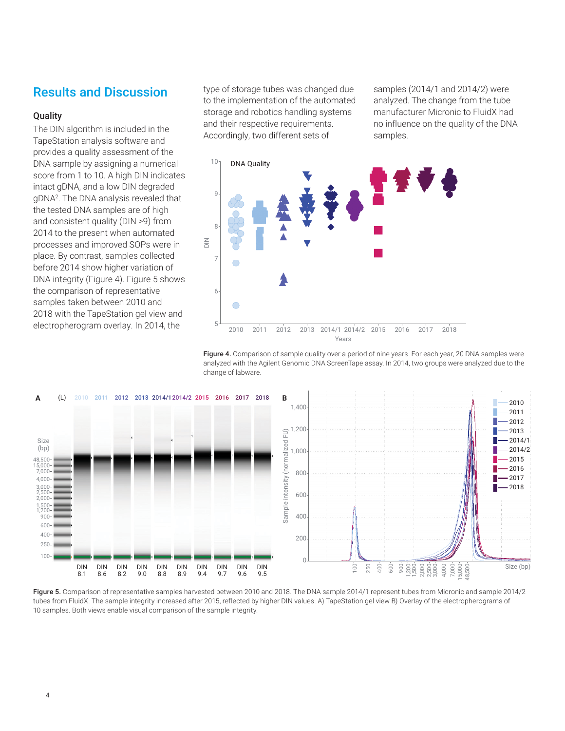# Results and Discussion

### **Quality**

The DIN algorithm is included in the TapeStation analysis software and provides a quality assessment of the DNA sample by assigning a numerical score from 1 to 10. A high DIN indicates intact gDNA, and a low DIN degraded gDNA<sup>2</sup> . The DNA analysis revealed that the tested DNA samples are of high and consistent quality (DIN >9) from 2014 to the present when automated processes and improved SOPs were in place. By contrast, samples collected before 2014 show higher variation of DNA integrity (Figure 4). Figure 5 shows the comparison of representative samples taken between 2010 and 2018 with the TapeStation gel view and electropherogram overlay. In 2014, the  $\frac{5-\frac{1}{2010}}{2010}$ 

type of storage tubes was changed due to the implementation of the automated storage and robotics handling systems and their respective requirements. Accordingly, two different sets of

samples (2014/1 and 2014/2) were analyzed. The change from the tube manufacturer Micronic to FluidX had no influence on the quality of the DNA samples.



Figure 4. Comparison of sample quality over a period of nine years. For each year, 20 DNA samples were analyzed with the Agilent Genomic DNA ScreenTape assay. In 2014, two groups were analyzed due to the change of labware.



Figure 5. Comparison of representative samples harvested between 2010 and 2018. The DNA sample 2014/1 represent tubes from Micronic and sample 2014/2 tubes from FluidX. The sample integrity increased after 2015, reflected by higher DIN values. A) TapeStation gel view B) Overlay of the electropherograms of 10 samples. Both views enable visual comparison of the sample integrity.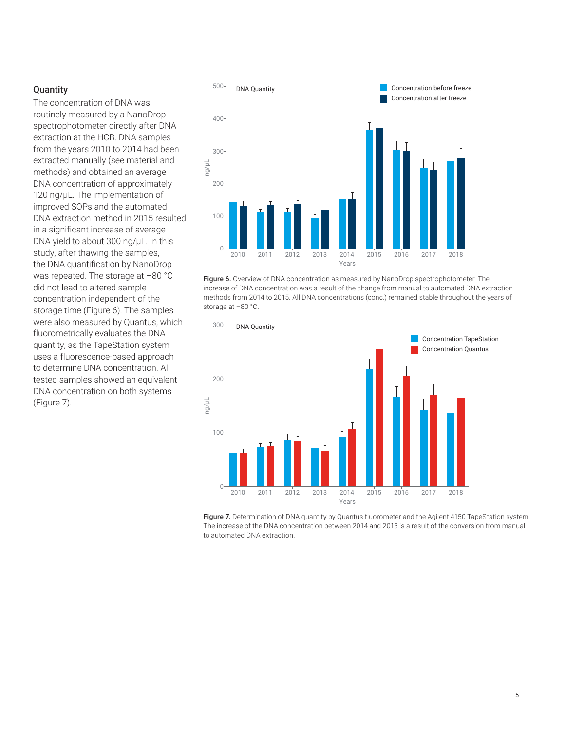### **Quantity**

The concentration of DNA was routinely measured by a NanoDrop spectrophotometer directly after DNA extraction at the HCB. DNA samples from the years 2010 to 2014 had been extracted manually (see material and methods) and obtained an average DNA concentration of approximately 120 ng/uL. The implementation of improved SOPs and the automated DNA extraction method in 2015 resulted in a significant increase of average DNA yield to about 300 ng/µL. In this study, after thawing the samples, the DNA quantification by NanoDrop was repeated. The storage at –80 °C did not lead to altered sample concentration independent of the storage time (Figure 6). The samples were also measured by Quantus, which fluorometrically evaluates the DNA quantity, as the TapeStation system uses a fluorescence-based approach to determine DNA concentration. All tested samples showed an equivalent DNA concentration on both systems (Figure 7).